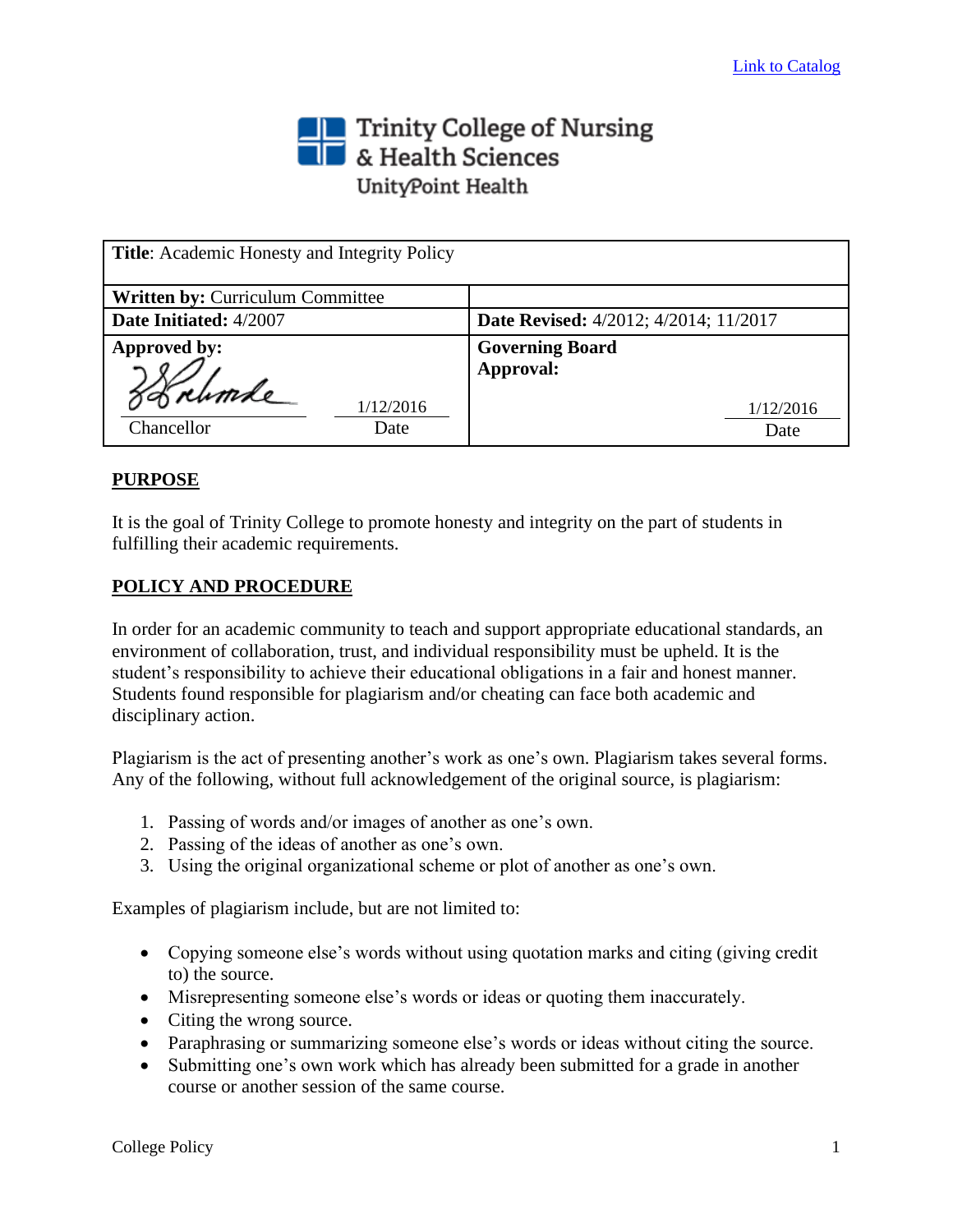## Trinity College of Nursing<br>
Section British Sciences UnityPoint Health

| <b>Title:</b> Academic Honesty and Integrity Policy |                                              |
|-----------------------------------------------------|----------------------------------------------|
| <b>Written by: Curriculum Committee</b>             |                                              |
| Date Initiated: 4/2007                              | <b>Date Revised:</b> 4/2012; 4/2014; 11/2017 |
| Approved by:                                        | <b>Governing Board</b>                       |
| 88 rumle<br>1/12/2016<br>Chancellor<br>Date         | Approval:<br>1/12/2016<br>Date               |

## **PURPOSE**

It is the goal of Trinity College to promote honesty and integrity on the part of students in fulfilling their academic requirements.

## **POLICY AND PROCEDURE**

In order for an academic community to teach and support appropriate educational standards, an environment of collaboration, trust, and individual responsibility must be upheld. It is the student's responsibility to achieve their educational obligations in a fair and honest manner. Students found responsible for plagiarism and/or cheating can face both academic and disciplinary action.

Plagiarism is the act of presenting another's work as one's own. Plagiarism takes several forms. Any of the following, without full acknowledgement of the original source, is plagiarism:

- 1. Passing of words and/or images of another as one's own.
- 2. Passing of the ideas of another as one's own.
- 3. Using the original organizational scheme or plot of another as one's own.

Examples of plagiarism include, but are not limited to:

- Copying someone else's words without using quotation marks and citing (giving credit to) the source.
- Misrepresenting someone else's words or ideas or quoting them inaccurately.
- Citing the wrong source.
- Paraphrasing or summarizing someone else's words or ideas without citing the source.
- Submitting one's own work which has already been submitted for a grade in another course or another session of the same course.